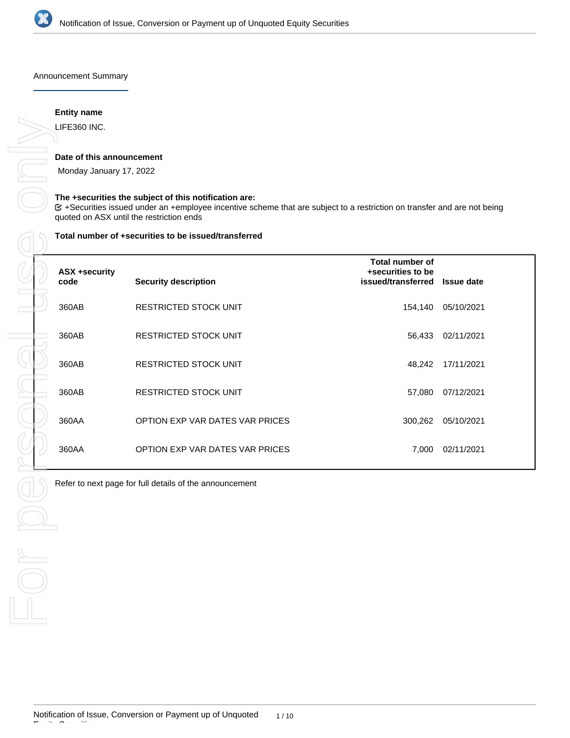

Announcement Summary

# **Entity name**

# **Date of this announcement**

## **The +securities the subject of this notification are:**

#### **Total number of +securities to be issued/transferred**

| LIFE360 INC.                                         |                                                                                                                                                                                                                                      |                                                            |                   |
|------------------------------------------------------|--------------------------------------------------------------------------------------------------------------------------------------------------------------------------------------------------------------------------------------|------------------------------------------------------------|-------------------|
| Date of this announcement<br>Monday January 17, 2022 |                                                                                                                                                                                                                                      |                                                            |                   |
|                                                      | The +securities the subject of this notification are:<br><b>E</b> +Securities issued under an +employee incentive scheme that are subject to a restriction on transfer and are not being<br>quoted on ASX until the restriction ends |                                                            |                   |
|                                                      | Total number of +securities to be issued/transferred                                                                                                                                                                                 |                                                            |                   |
| <b>ASX +security</b><br>code                         | <b>Security description</b>                                                                                                                                                                                                          | Total number of<br>+securities to be<br>issued/transferred | <b>Issue date</b> |
| 360AB                                                | RESTRICTED STOCK UNIT                                                                                                                                                                                                                | 154,140                                                    | 05/10/2021        |
| 360AB                                                | RESTRICTED STOCK UNIT                                                                                                                                                                                                                | 56,433                                                     | 02/11/2021        |
| 360AB                                                | RESTRICTED STOCK UNIT                                                                                                                                                                                                                | 48,242                                                     | 17/11/2021        |
| 360AB                                                | RESTRICTED STOCK UNIT                                                                                                                                                                                                                | 57,080                                                     | 07/12/2021        |
| 360AA                                                | OPTION EXP VAR DATES VAR PRICES                                                                                                                                                                                                      | 300,262                                                    | 05/10/2021        |
| 360AA                                                | OPTION EXP VAR DATES VAR PRICES                                                                                                                                                                                                      | 7,000                                                      | 02/11/2021        |
|                                                      | Refer to next page for full details of the announcement                                                                                                                                                                              |                                                            |                   |
|                                                      |                                                                                                                                                                                                                                      |                                                            |                   |
|                                                      |                                                                                                                                                                                                                                      |                                                            |                   |
|                                                      |                                                                                                                                                                                                                                      |                                                            |                   |
|                                                      |                                                                                                                                                                                                                                      |                                                            |                   |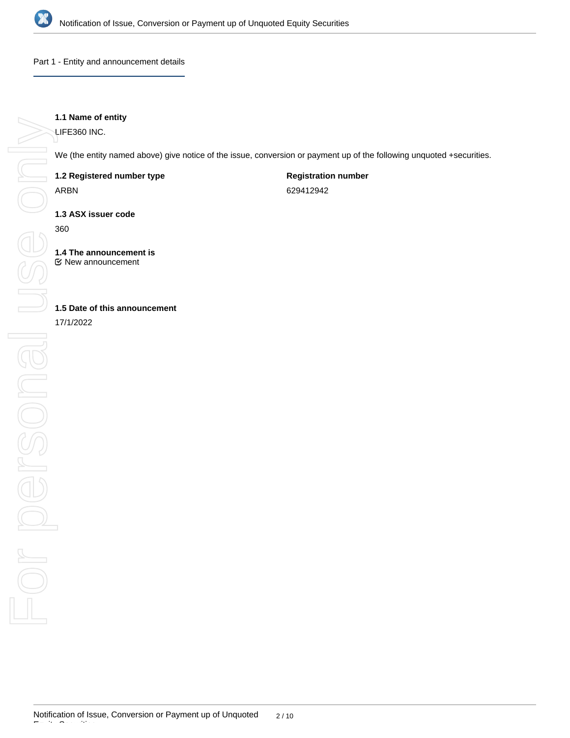

Part 1 - Entity and announcement details

# **1.1 Name of entity**

LIFE360 INC.

We (the entity named above) give notice of the issue, conversion or payment up of the following unquoted +securities.

**1.2 Registered number type**

ARBN

**Registration number**

629412942

**1.3 ASX issuer code**

360

**1.4 The announcement is** New announcement

# **1.5 Date of this announcement**

17/1/2022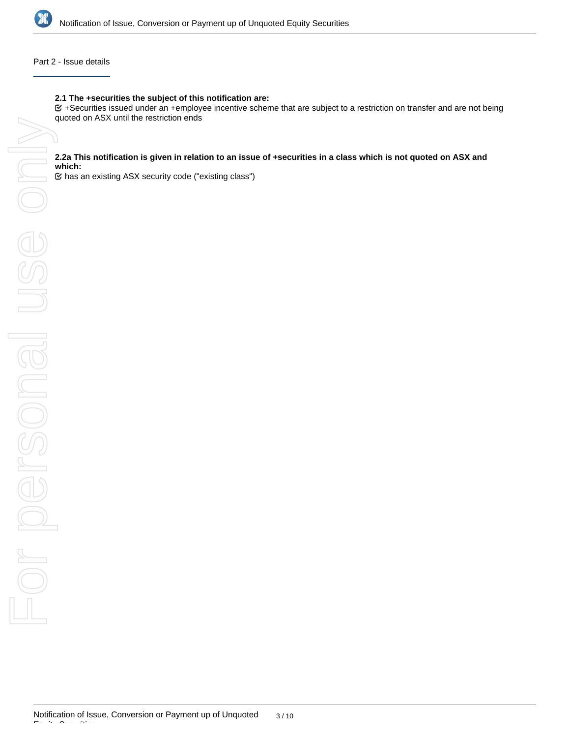

# Part 2 - Issue details

#### **2.1 The +securities the subject of this notification are:**

+Securities issued under an +employee incentive scheme that are subject to a restriction on transfer and are not being

#### **2.2a This notification is given in relation to an issue of +securities in a class which is not quoted on ASX and which:**

has an existing ASX security code ("existing class")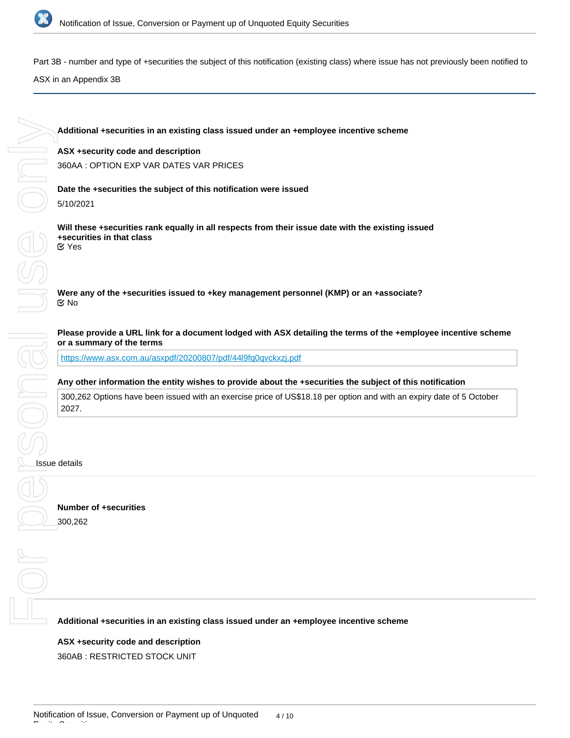

Part 3B - number and type of +securities the subject of this notification (existing class) where issue has not previously been notified to

ASX in an Appendix 3B

**Additional +securities in an existing class issued under an +employee incentive scheme**

## **ASX +security code and description**

360AA : OPTION EXP VAR DATES VAR PRICES

**Date the +securities the subject of this notification were issued** 5/10/2021

**Will these +securities rank equally in all respects from their issue date with the existing issued +securities in that class** Yes

**Were any of the +securities issued to +key management personnel (KMP) or an +associate?** No

## **Please provide a URL link for a document lodged with ASX detailing the terms of the +employee incentive scheme or a summary of the terms**

<https://www.asx.com.au/asxpdf/20200807/pdf/44l9fq0qvckxzj.pdf>

## **Any other information the entity wishes to provide about the +securities the subject of this notification**

300,262 Options have been issued with an exercise price of US\$18.18 per option and with an expiry date of 5 October 2027.

#### Issue details

Equity Securities

**Number of +securities** 300,262

**Additional +securities in an existing class issued under an +employee incentive scheme**

# **ASX +security code and description**

360AB : RESTRICTED STOCK UNIT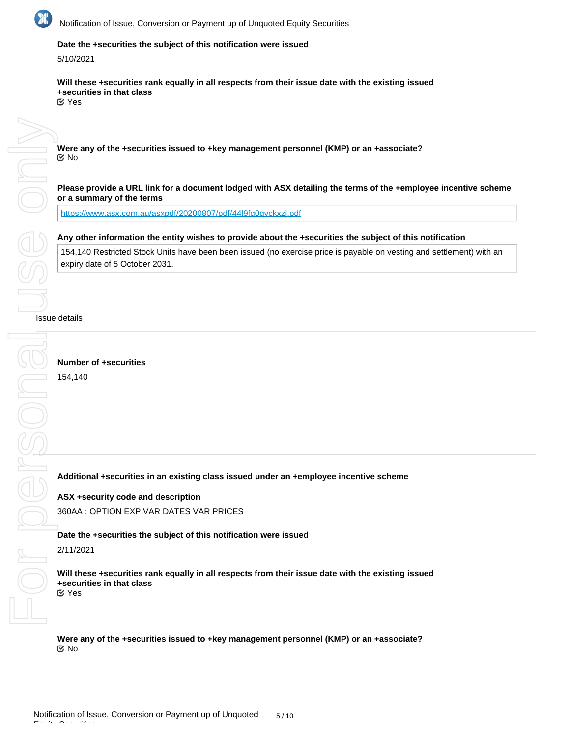

# **Date the +securities the subject of this notification were issued**

#### 5/10/2021

**Will these +securities rank equally in all respects from their issue date with the existing issued +securities in that class** Yes

For personal Jeuse only DE ON

**Were any of the +securities issued to +key management personnel (KMP) or an +associate?** No

**Please provide a URL link for a document lodged with ASX detailing the terms of the +employee incentive scheme or a summary of the terms**

<https://www.asx.com.au/asxpdf/20200807/pdf/44l9fq0qvckxzj.pdf>

## **Any other information the entity wishes to provide about the +securities the subject of this notification**

154,140 Restricted Stock Units have been been issued (no exercise price is payable on vesting and settlement) with an expiry date of 5 October 2031.

#### Issue details

**Number of +securities** 154,140

### **Additional +securities in an existing class issued under an +employee incentive scheme**

**ASX +security code and description** 360AA : OPTION EXP VAR DATES VAR PRICES

**Date the +securities the subject of this notification were issued**

## 2/11/2021

Equity Securities

**Will these +securities rank equally in all respects from their issue date with the existing issued +securities in that class** Yes

**Were any of the +securities issued to +key management personnel (KMP) or an +associate?** No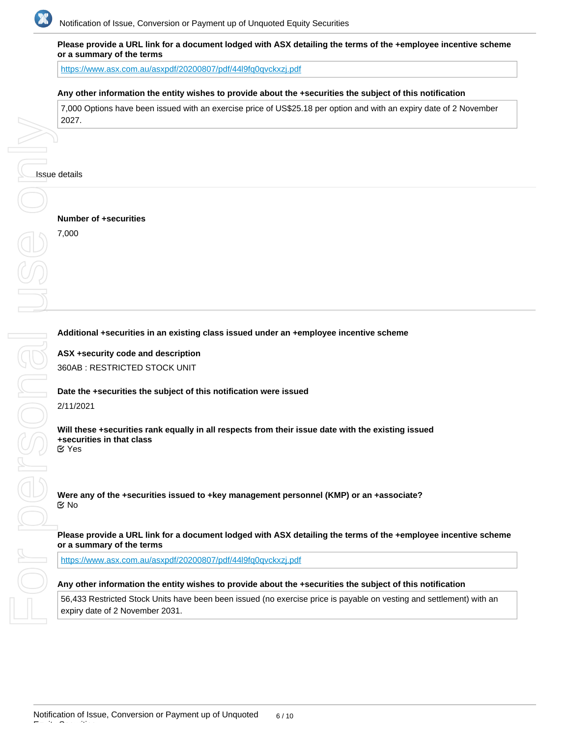

## **Please provide a URL link for a document lodged with ASX detailing the terms of the +employee incentive scheme or a summary of the terms**

https://www.asx.com.au/asxpdf/20200807/pdf/44l9fq0qvckxzi.pdf

## **Any other information the entity wishes to provide about the +securities the subject of this notification**

7,000 Options have been issued with an exercise price of US\$25.18 per option and with an expiry date of 2 November 2027.

**Number of +securities**

7,000

#### **Additional +securities in an existing class issued under an +employee incentive scheme**

**ASX +security code and description** 360AB : RESTRICTED STOCK UNIT

#### **Date the +securities the subject of this notification were issued**

2/11/2021

**Will these +securities rank equally in all respects from their issue date with the existing issued +securities in that class** Yes

**Were any of the +securities issued to +key management personnel (KMP) or an +associate?** No

## **Please provide a URL link for a document lodged with ASX detailing the terms of the +employee incentive scheme or a summary of the terms**

<https://www.asx.com.au/asxpdf/20200807/pdf/44l9fq0qvckxzj.pdf>

#### **Any other information the entity wishes to provide about the +securities the subject of this notification**

56,433 Restricted Stock Units have been been issued (no exercise price is payable on vesting and settlement) with an expiry date of 2 November 2031.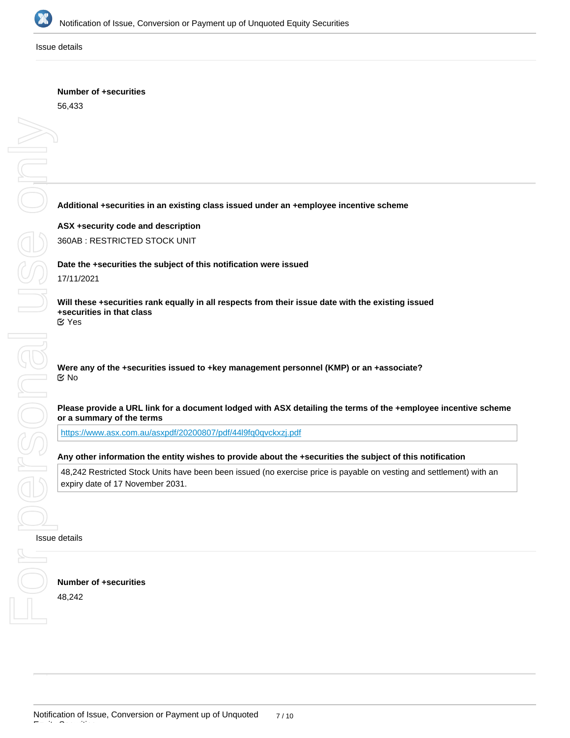

#### Issue details

# **Number of +securities**

56,433

# **Additional +securities in an existing class issued under an +employee incentive scheme**

**ASX +security code and description** 360AB : RESTRICTED STOCK UNIT

**Date the +securities the subject of this notification were issued**

17/11/2021

**Will these +securities rank equally in all respects from their issue date with the existing issued +securities in that class** Yes

**Were any of the +securities issued to +key management personnel (KMP) or an +associate?** No

## **Please provide a URL link for a document lodged with ASX detailing the terms of the +employee incentive scheme or a summary of the terms**

<https://www.asx.com.au/asxpdf/20200807/pdf/44l9fq0qvckxzj.pdf>

## **Any other information the entity wishes to provide about the +securities the subject of this notification**

48,242 Restricted Stock Units have been been issued (no exercise price is payable on vesting and settlement) with an expiry date of 17 November 2031.

#### Issue details

**Number of +securities** 48,242

**Additional +securities in an existing class issued under an +employee incentive scheme**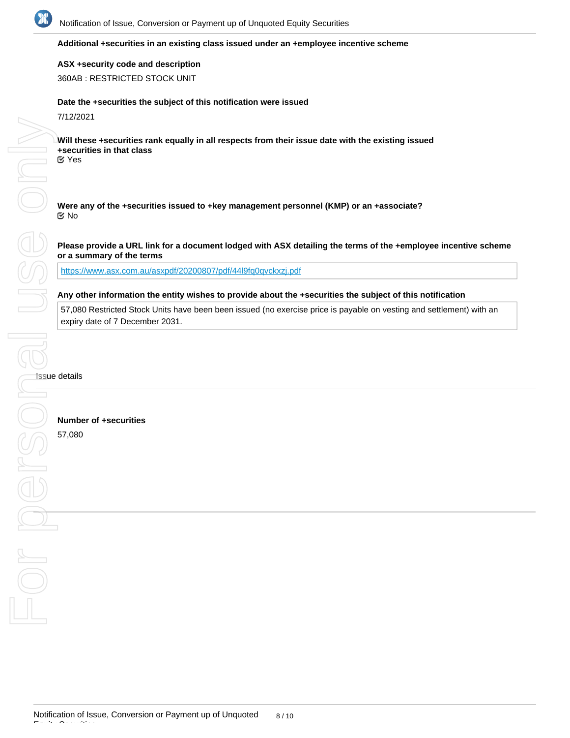

## **Additional +securities in an existing class issued under an +employee incentive scheme**

**ASX +security code and description** 360AB : RESTRICTED STOCK UNIT

# **Date the +securities the subject of this notification were issued**

7/12/2021

**Will these +securities rank equally in all respects from their issue date with the existing issued +securities in that class** Yes

**Were any of the +securities issued to +key management personnel (KMP) or an +associate?** No

**Please provide a URL link for a document lodged with ASX detailing the terms of the +employee incentive scheme or a summary of the terms**

<https://www.asx.com.au/asxpdf/20200807/pdf/44l9fq0qvckxzj.pdf>

## **Any other information the entity wishes to provide about the +securities the subject of this notification**

57,080 Restricted Stock Units have been been issued (no exercise price is payable on vesting and settlement) with an expiry date of 7 December 2031.

Issue details

**Number of +securities**

57,080

Equity Securities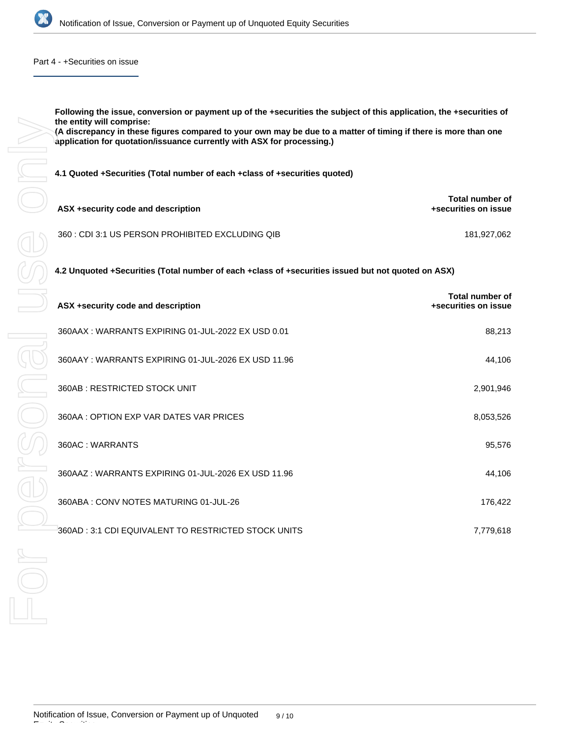

## Part 4 - +Securities on issue

| the entity will comprise:<br>(A discrepancy in these figures compared to your own may be due to a matter of timing if there is more than one<br>application for quotation/issuance currently with ASX for processing.) |                                                |
|------------------------------------------------------------------------------------------------------------------------------------------------------------------------------------------------------------------------|------------------------------------------------|
| 4.1 Quoted +Securities (Total number of each +class of +securities quoted)                                                                                                                                             |                                                |
| ASX +security code and description                                                                                                                                                                                     | <b>Total number of</b><br>+securities on issue |
| 360 : CDI 3:1 US PERSON PROHIBITED EXCLUDING QIB                                                                                                                                                                       | 181,927,062                                    |
| 4.2 Unquoted +Securities (Total number of each +class of +securities issued but not quoted on ASX)                                                                                                                     |                                                |
| ASX +security code and description                                                                                                                                                                                     | <b>Total number of</b><br>+securities on issue |
| 360AAX: WARRANTS EXPIRING 01-JUL-2022 EX USD 0.01                                                                                                                                                                      | 88,213                                         |
| 360AAY: WARRANTS EXPIRING 01-JUL-2026 EX USD 11.96                                                                                                                                                                     | 44,106                                         |
| 360AB: RESTRICTED STOCK UNIT                                                                                                                                                                                           | 2,901,946                                      |
| 360AA : OPTION EXP VAR DATES VAR PRICES                                                                                                                                                                                | 8,053,526                                      |
| 360AC: WARRANTS                                                                                                                                                                                                        | 95,576                                         |
| 360AAZ: WARRANTS EXPIRING 01-JUL-2026 EX USD 11.96                                                                                                                                                                     | 44,106                                         |
| 360ABA: CONV NOTES MATURING 01-JUL-26                                                                                                                                                                                  | 176,422                                        |
| 360AD : 3:1 CDI EQUIVALENT TO RESTRICTED STOCK UNITS                                                                                                                                                                   | 7,779,618                                      |
|                                                                                                                                                                                                                        |                                                |
|                                                                                                                                                                                                                        |                                                |
|                                                                                                                                                                                                                        |                                                |

Equity Securities